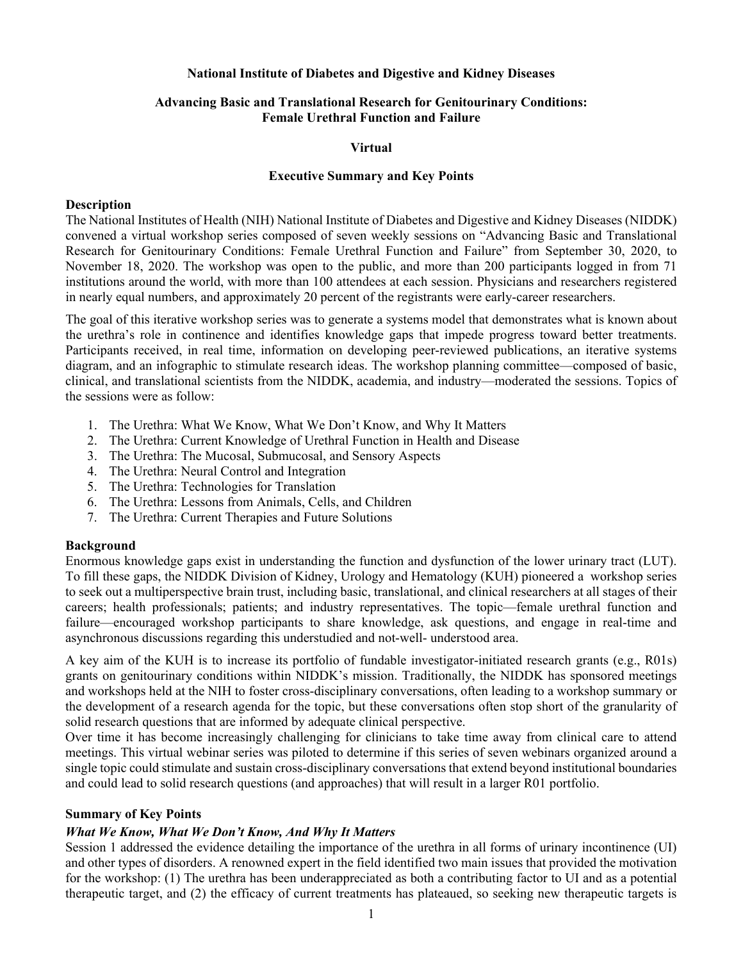#### **National Institute of Diabetes and Digestive and Kidney Diseases**

## **Advancing Basic and Translational Research for Genitourinary Conditions: Female Urethral Function and Failure**

#### **Virtual**

#### **Executive Summary and Key Points**

#### **Description**

The National Institutes of Health (NIH) National Institute of Diabetes and Digestive and Kidney Diseases (NIDDK) convened a virtual workshop series composed of seven weekly sessions on "Advancing Basic and Translational Research for Genitourinary Conditions: Female Urethral Function and Failure" from September 30, 2020, to November 18, 2020. The workshop was open to the public, and more than 200 participants logged in from 71 institutions around the world, with more than 100 attendees at each session. Physicians and researchers registered in nearly equal numbers, and approximately 20 percent of the registrants were early-career researchers.

The goal of this iterative workshop series was to generate a systems model that demonstrates what is known about the urethra's role in continence and identifies knowledge gaps that impede progress toward better treatments. Participants received, in real time, information on developing peer-reviewed publications, an iterative systems diagram, and an infographic to stimulate research ideas. The workshop planning committee—composed of basic, clinical, and translational scientists from the NIDDK, academia, and industry—moderated the sessions. Topics of the sessions were as follow:

- 1. The Urethra: What We Know, What We Don't Know, and Why It Matters
- 2. The Urethra: Current Knowledge of Urethral Function in Health and Disease
- 3. The Urethra: The Mucosal, Submucosal, and Sensory Aspects
- 4. The Urethra: Neural Control and Integration
- 5. The Urethra: Technologies for Translation
- 6. The Urethra: Lessons from Animals, Cells, and Children
- 7. The Urethra: Current Therapies and Future Solutions

#### **Background**

Enormous knowledge gaps exist in understanding the function and dysfunction of the lower urinary tract (LUT). To fill these gaps, the NIDDK Division of Kidney, Urology and Hematology (KUH) pioneered a workshop series to seek out a multiperspective brain trust, including basic, translational, and clinical researchers at all stages of their careers; health professionals; patients; and industry representatives. The topic—female urethral function and failure—encouraged workshop participants to share knowledge, ask questions, and engage in real-time and asynchronous discussions regarding this understudied and not-well- understood area.

A key aim of the KUH is to increase its portfolio of fundable investigator-initiated research grants (e.g., R01s) grants on genitourinary conditions within NIDDK's mission. Traditionally, the NIDDK has sponsored meetings and workshops held at the NIH to foster cross-disciplinary conversations, often leading to a workshop summary or the development of a research agenda for the topic, but these conversations often stop short of the granularity of solid research questions that are informed by adequate clinical perspective.

Over time it has become increasingly challenging for clinicians to take time away from clinical care to attend meetings. This virtual webinar series was piloted to determine if this series of seven webinars organized around a single topic could stimulate and sustain cross-disciplinary conversations that extend beyond institutional boundaries and could lead to solid research questions (and approaches) that will result in a larger R01 portfolio.

#### **Summary of Key Points**

## *What We Know, What We Don't Know, And Why It Matters*

Session 1 addressed the evidence detailing the importance of the urethra in all forms of urinary incontinence (UI) and other types of disorders. A renowned expert in the field identified two main issues that provided the motivation for the workshop: (1) The urethra has been underappreciated as both a contributing factor to UI and as a potential therapeutic target, and (2) the efficacy of current treatments has plateaued, so seeking new therapeutic targets is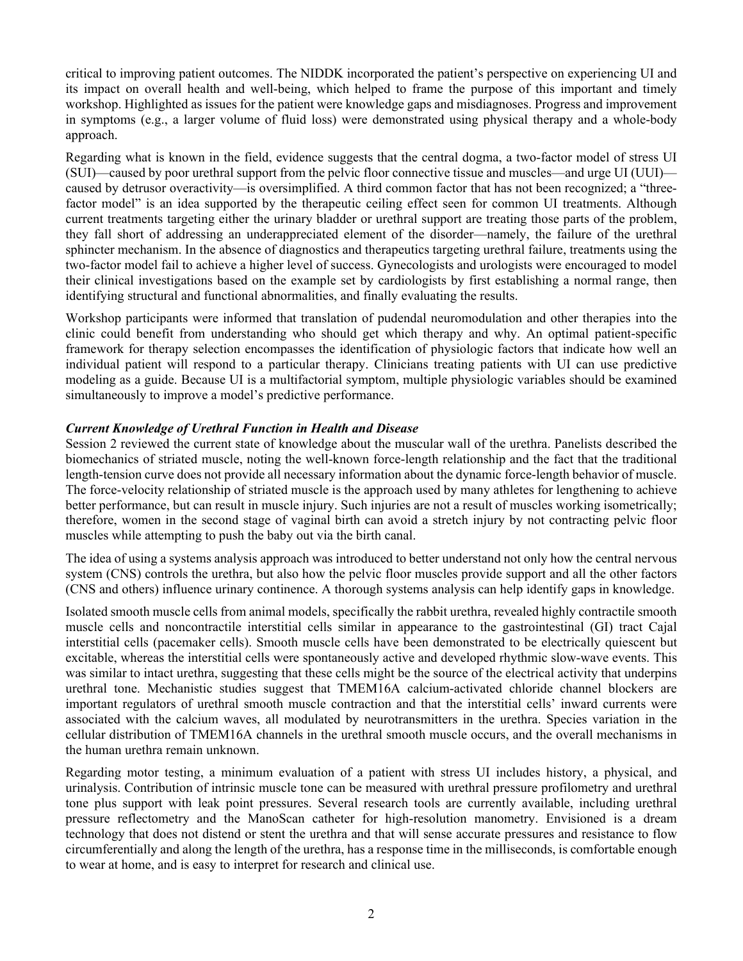critical to improving patient outcomes. The NIDDK incorporated the patient's perspective on experiencing UI and its impact on overall health and well-being, which helped to frame the purpose of this important and timely workshop. Highlighted as issues for the patient were knowledge gaps and misdiagnoses. Progress and improvement in symptoms (e.g., a larger volume of fluid loss) were demonstrated using physical therapy and a whole-body approach.

Regarding what is known in the field, evidence suggests that the central dogma, a two-factor model of stress UI (SUI)—caused by poor urethral support from the pelvic floor connective tissue and muscles—and urge UI (UUI) caused by detrusor overactivity—is oversimplified. A third common factor that has not been recognized; a "threefactor model" is an idea supported by the therapeutic ceiling effect seen for common UI treatments. Although current treatments targeting either the urinary bladder or urethral support are treating those parts of the problem, they fall short of addressing an underappreciated element of the disorder—namely, the failure of the urethral sphincter mechanism. In the absence of diagnostics and therapeutics targeting urethral failure, treatments using the two-factor model fail to achieve a higher level of success. Gynecologists and urologists were encouraged to model their clinical investigations based on the example set by cardiologists by first establishing a normal range, then identifying structural and functional abnormalities, and finally evaluating the results.

Workshop participants were informed that translation of pudendal neuromodulation and other therapies into the clinic could benefit from understanding who should get which therapy and why. An optimal patient-specific framework for therapy selection encompasses the identification of physiologic factors that indicate how well an individual patient will respond to a particular therapy. Clinicians treating patients with UI can use predictive modeling as a guide. Because UI is a multifactorial symptom, multiple physiologic variables should be examined simultaneously to improve a model's predictive performance.

## *Current Knowledge of Urethral Function in Health and Disease*

Session 2 reviewed the current state of knowledge about the muscular wall of the urethra. Panelists described the biomechanics of striated muscle, noting the well-known force-length relationship and the fact that the traditional length-tension curve does not provide all necessary information about the dynamic force-length behavior of muscle. The force-velocity relationship of striated muscle is the approach used by many athletes for lengthening to achieve better performance, but can result in muscle injury. Such injuries are not a result of muscles working isometrically; therefore, women in the second stage of vaginal birth can avoid a stretch injury by not contracting pelvic floor muscles while attempting to push the baby out via the birth canal.

The idea of using a systems analysis approach was introduced to better understand not only how the central nervous system (CNS) controls the urethra, but also how the pelvic floor muscles provide support and all the other factors (CNS and others) influence urinary continence. A thorough systems analysis can help identify gaps in knowledge.

Isolated smooth muscle cells from animal models, specifically the rabbit urethra, revealed highly contractile smooth muscle cells and noncontractile interstitial cells similar in appearance to the gastrointestinal (GI) tract Cajal interstitial cells (pacemaker cells). Smooth muscle cells have been demonstrated to be electrically quiescent but excitable, whereas the interstitial cells were spontaneously active and developed rhythmic slow-wave events. This was similar to intact urethra, suggesting that these cells might be the source of the electrical activity that underpins urethral tone. Mechanistic studies suggest that TMEM16A calcium-activated chloride channel blockers are important regulators of urethral smooth muscle contraction and that the interstitial cells' inward currents were associated with the calcium waves, all modulated by neurotransmitters in the urethra. Species variation in the cellular distribution of TMEM16A channels in the urethral smooth muscle occurs, and the overall mechanisms in the human urethra remain unknown.

Regarding motor testing, a minimum evaluation of a patient with stress UI includes history, a physical, and urinalysis. Contribution of intrinsic muscle tone can be measured with urethral pressure profilometry and urethral tone plus support with leak point pressures. Several research tools are currently available, including urethral pressure reflectometry and the ManoScan catheter for high-resolution manometry. Envisioned is a dream technology that does not distend or stent the urethra and that will sense accurate pressures and resistance to flow circumferentially and along the length of the urethra, has a response time in the milliseconds, is comfortable enough to wear at home, and is easy to interpret for research and clinical use.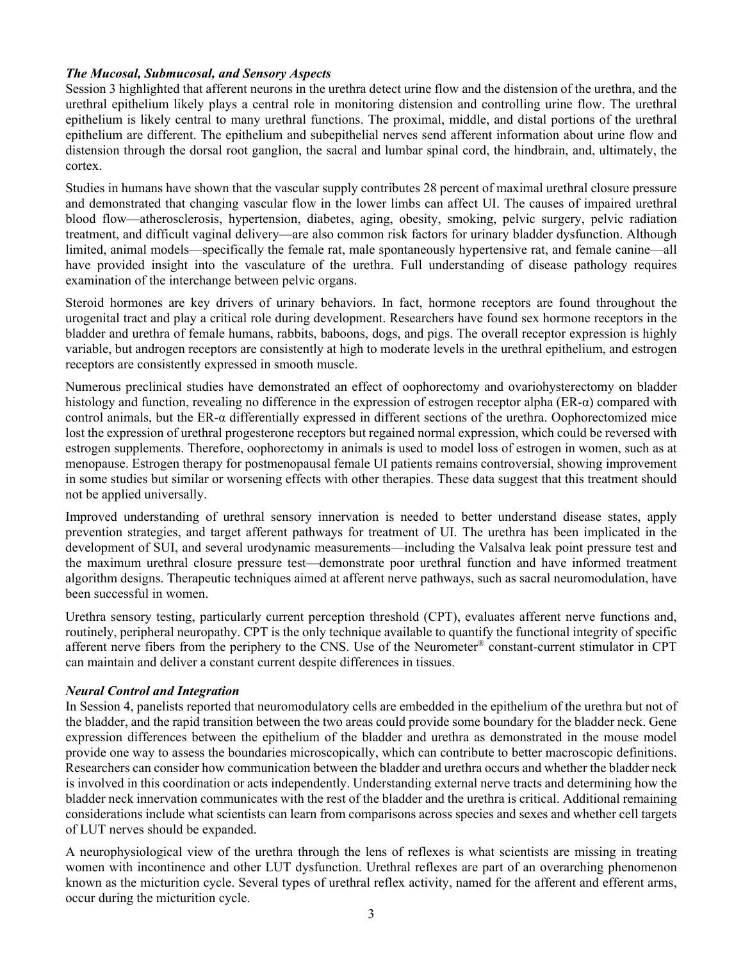# *The Mucosal, Submucosal, and Sensory Aspects*

Session 3 highlighted that afferent neurons in the urethra detect urine flow and the distension of the urethra, and the urethral epithelium likely plays a central role in monitoring distension and controlling urine flow. The urethral epithelium is likely central to many urethral functions. The proximal, middle, and distal portions of the urethral epithelium are different. The epithelium and subepithelial nerves send afferent information about urine flow and distension through the dorsal root ganglion, the sacral and lumbar spinal cord, the hindbrain, and, ultimately, the cortex.

Studies in humans have shown that the vascular supply contributes 28 percent of maximal urethral closure pressure and demonstrated that changing vascular flow in the lower limbs can affect UI. The causes of impaired urethral blood flow—atherosclerosis, hypertension, diabetes, aging, obesity, smoking, pelvic surgery, pelvic radiation treatment, and difficult vaginal delivery—are also common risk factors for urinary bladder dysfunction. Although limited, animal models—specifically the female rat, male spontaneously hypertensive rat, and female canine—all have provided insight into the vasculature of the urethra. Full understanding of disease pathology requires examination of the interchange between pelvic organs.

Steroid hormones are key drivers of urinary behaviors. In fact, hormone receptors are found throughout the urogenital tract and play a critical role during development. Researchers have found sex hormone receptors in the bladder and urethra of female humans, rabbits, baboons, dogs, and pigs. The overall receptor expression is highly variable, but androgen receptors are consistently at high to moderate levels in the urethral epithelium, and estrogen receptors are consistently expressed in smooth muscle.

Numerous preclinical studies have demonstrated an effect of oophorectomy and ovariohysterectomy on bladder histology and function, revealing no difference in the expression of estrogen receptor alpha (ER-α) compared with control animals, but the ER-α differentially expressed in different sections of the urethra. Oophorectomized mice lost the expression of urethral progesterone receptors but regained normal expression, which could be reversed with estrogen supplements. Therefore, oophorectomy in animals is used to model loss of estrogen in women, such as at menopause. Estrogen therapy for postmenopausal female UI patients remains controversial, showing improvement in some studies but similar or worsening effects with other therapies. These data suggest that this treatment should not be applied universally.

Improved understanding of urethral sensory innervation is needed to better understand disease states, apply prevention strategies, and target afferent pathways for treatment of UI. The urethra has been implicated in the development of SUI, and several urodynamic measurements—including the Valsalva leak point pressure test and the maximum urethral closure pressure test—demonstrate poor urethral function and have informed treatment algorithm designs. Therapeutic techniques aimed at afferent nerve pathways, such as sacral neuromodulation, have been successful in women.

Urethra sensory testing, particularly current perception threshold (CPT), evaluates afferent nerve functions and, routinely, peripheral neuropathy. CPT is the only technique available to quantify the functional integrity of specific afferent nerve fibers from the periphery to the CNS. Use of the Neurometer® constant-current stimulator in CPT can maintain and deliver a constant current despite differences in tissues.

## *Neural Control and Integration*

In Session 4, panelists reported that neuromodulatory cells are embedded in the epithelium of the urethra but not of the bladder, and the rapid transition between the two areas could provide some boundary for the bladder neck. Gene expression differences between the epithelium of the bladder and urethra as demonstrated in the mouse model provide one way to assess the boundaries microscopically, which can contribute to better macroscopic definitions. Researchers can consider how communication between the bladder and urethra occurs and whether the bladder neck is involved in this coordination or acts independently. Understanding external nerve tracts and determining how the bladder neck innervation communicates with the rest of the bladder and the urethra is critical. Additional remaining considerations include what scientists can learn from comparisons across species and sexes and whether cell targets of LUT nerves should be expanded.

A neurophysiological view of the urethra through the lens of reflexes is what scientists are missing in treating women with incontinence and other LUT dysfunction. Urethral reflexes are part of an overarching phenomenon known as the micturition cycle. Several types of urethral reflex activity, named for the afferent and efferent arms, occur during the micturition cycle.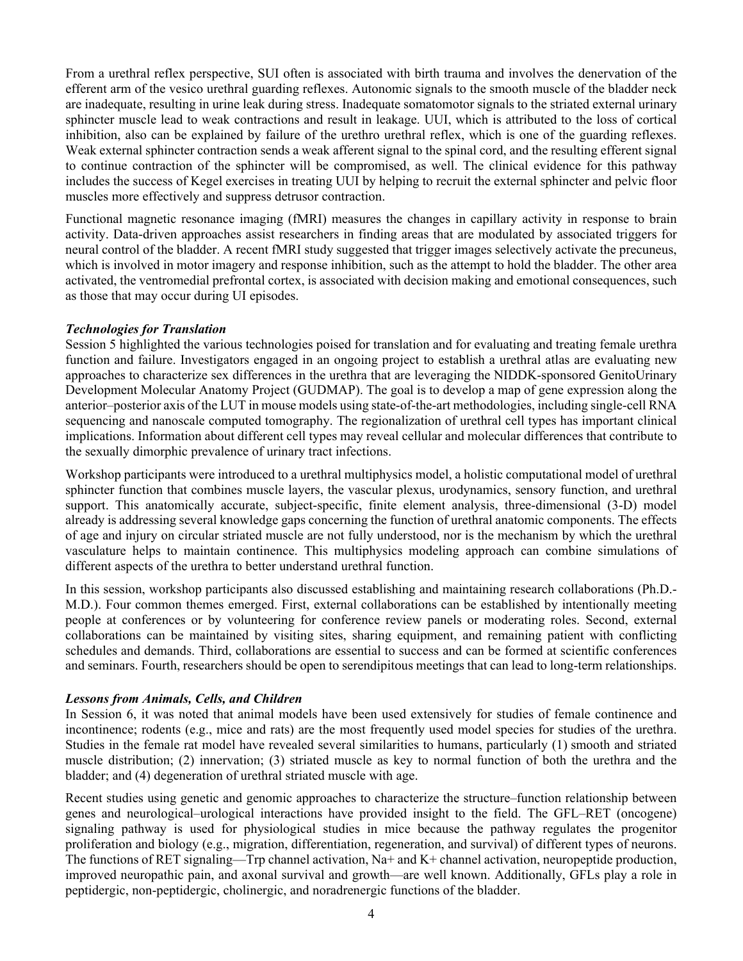From a urethral reflex perspective, SUI often is associated with birth trauma and involves the denervation of the efferent arm of the vesico urethral guarding reflexes. Autonomic signals to the smooth muscle of the bladder neck are inadequate, resulting in urine leak during stress. Inadequate somatomotor signals to the striated external urinary sphincter muscle lead to weak contractions and result in leakage. UUI, which is attributed to the loss of cortical inhibition, also can be explained by failure of the urethro urethral reflex, which is one of the guarding reflexes. Weak external sphincter contraction sends a weak afferent signal to the spinal cord, and the resulting efferent signal to continue contraction of the sphincter will be compromised, as well. The clinical evidence for this pathway includes the success of Kegel exercises in treating UUI by helping to recruit the external sphincter and pelvic floor muscles more effectively and suppress detrusor contraction.

Functional magnetic resonance imaging (fMRI) measures the changes in capillary activity in response to brain activity. Data-driven approaches assist researchers in finding areas that are modulated by associated triggers for neural control of the bladder. A recent fMRI study suggested that trigger images selectively activate the precuneus, which is involved in motor imagery and response inhibition, such as the attempt to hold the bladder. The other area activated, the ventromedial prefrontal cortex, is associated with decision making and emotional consequences, such as those that may occur during UI episodes.

## *Technologies for Translation*

Session 5 highlighted the various technologies poised for translation and for evaluating and treating female urethra function and failure. Investigators engaged in an ongoing project to establish a urethral atlas are evaluating new approaches to characterize sex differences in the urethra that are leveraging the NIDDK-sponsored GenitoUrinary Development Molecular Anatomy Project (GUDMAP). The goal is to develop a map of gene expression along the anterior–posterior axis of the LUT in mouse models using state-of-the-art methodologies, including single-cell RNA sequencing and nanoscale computed tomography. The regionalization of urethral cell types has important clinical implications. Information about different cell types may reveal cellular and molecular differences that contribute to the sexually dimorphic prevalence of urinary tract infections.

Workshop participants were introduced to a urethral multiphysics model, a holistic computational model of urethral sphincter function that combines muscle layers, the vascular plexus, urodynamics, sensory function, and urethral support. This anatomically accurate, subject-specific, finite element analysis, three-dimensional (3-D) model already is addressing several knowledge gaps concerning the function of urethral anatomic components. The effects of age and injury on circular striated muscle are not fully understood, nor is the mechanism by which the urethral vasculature helps to maintain continence. This multiphysics modeling approach can combine simulations of different aspects of the urethra to better understand urethral function.

In this session, workshop participants also discussed establishing and maintaining research collaborations (Ph.D.- M.D.). Four common themes emerged. First, external collaborations can be established by intentionally meeting people at conferences or by volunteering for conference review panels or moderating roles. Second, external collaborations can be maintained by visiting sites, sharing equipment, and remaining patient with conflicting schedules and demands. Third, collaborations are essential to success and can be formed at scientific conferences and seminars. Fourth, researchers should be open to serendipitous meetings that can lead to long-term relationships.

## *Lessons from Animals, Cells, and Children*

In Session 6, it was noted that animal models have been used extensively for studies of female continence and incontinence; rodents (e.g., mice and rats) are the most frequently used model species for studies of the urethra. Studies in the female rat model have revealed several similarities to humans, particularly (1) smooth and striated muscle distribution; (2) innervation; (3) striated muscle as key to normal function of both the urethra and the bladder; and (4) degeneration of urethral striated muscle with age.

Recent studies using genetic and genomic approaches to characterize the structure–function relationship between genes and neurological–urological interactions have provided insight to the field. The GFL–RET (oncogene) signaling pathway is used for physiological studies in mice because the pathway regulates the progenitor proliferation and biology (e.g., migration, differentiation, regeneration, and survival) of different types of neurons. The functions of RET signaling—Trp channel activation, Na+ and K+ channel activation, neuropeptide production, improved neuropathic pain, and axonal survival and growth—are well known. Additionally, GFLs play a role in peptidergic, non-peptidergic, cholinergic, and noradrenergic functions of the bladder.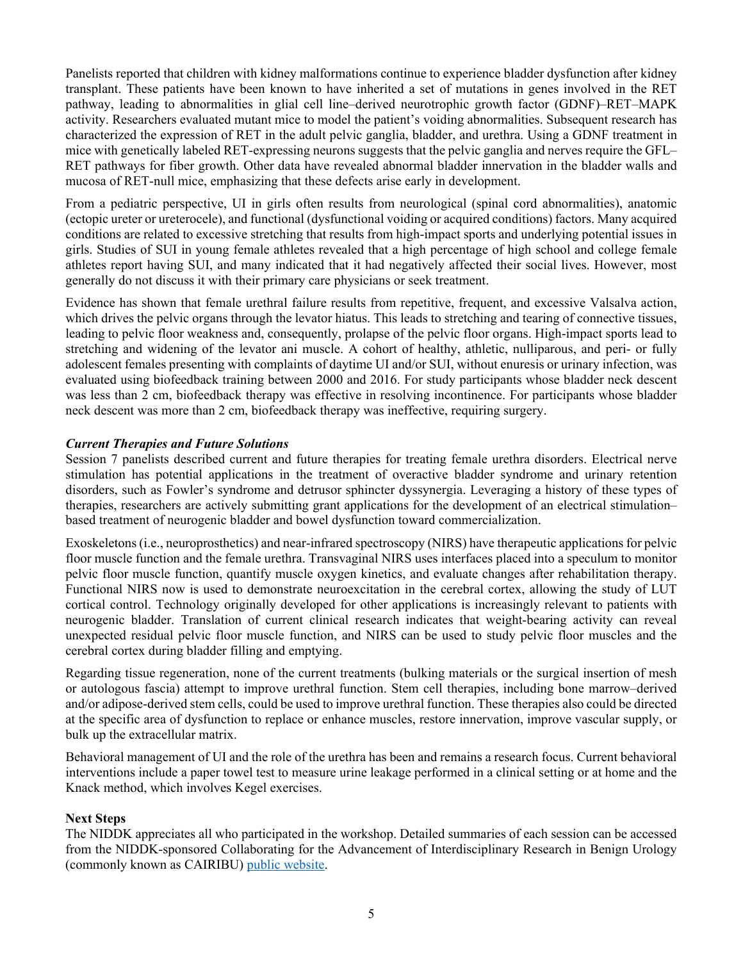Panelists reported that children with kidney malformations continue to experience bladder dysfunction after kidney transplant. These patients have been known to have inherited a set of mutations in genes involved in the RET pathway, leading to abnormalities in glial cell line–derived neurotrophic growth factor (GDNF)–RET–MAPK activity. Researchers evaluated mutant mice to model the patient's voiding abnormalities. Subsequent research has characterized the expression of RET in the adult pelvic ganglia, bladder, and urethra. Using a GDNF treatment in mice with genetically labeled RET-expressing neurons suggests that the pelvic ganglia and nerves require the GFL– RET pathways for fiber growth. Other data have revealed abnormal bladder innervation in the bladder walls and mucosa of RET-null mice, emphasizing that these defects arise early in development.

From a pediatric perspective, UI in girls often results from neurological (spinal cord abnormalities), anatomic (ectopic ureter or ureterocele), and functional (dysfunctional voiding or acquired conditions) factors. Many acquired conditions are related to excessive stretching that results from high-impact sports and underlying potential issues in girls. Studies of SUI in young female athletes revealed that a high percentage of high school and college female athletes report having SUI, and many indicated that it had negatively affected their social lives. However, most generally do not discuss it with their primary care physicians or seek treatment.

Evidence has shown that female urethral failure results from repetitive, frequent, and excessive Valsalva action, which drives the pelvic organs through the levator hiatus. This leads to stretching and tearing of connective tissues, leading to pelvic floor weakness and, consequently, prolapse of the pelvic floor organs. High-impact sports lead to stretching and widening of the levator ani muscle. A cohort of healthy, athletic, nulliparous, and peri- or fully adolescent females presenting with complaints of daytime UI and/or SUI, without enuresis or urinary infection, was evaluated using biofeedback training between 2000 and 2016. For study participants whose bladder neck descent was less than 2 cm, biofeedback therapy was effective in resolving incontinence. For participants whose bladder neck descent was more than 2 cm, biofeedback therapy was ineffective, requiring surgery.

# *Current Therapies and Future Solutions*

Session 7 panelists described current and future therapies for treating female urethra disorders. Electrical nerve stimulation has potential applications in the treatment of overactive bladder syndrome and urinary retention disorders, such as Fowler's syndrome and detrusor sphincter dyssynergia. Leveraging a history of these types of therapies, researchers are actively submitting grant applications for the development of an electrical stimulation– based treatment of neurogenic bladder and bowel dysfunction toward commercialization.

Exoskeletons(i.e., neuroprosthetics) and near-infrared spectroscopy (NIRS) have therapeutic applications for pelvic floor muscle function and the female urethra. Transvaginal NIRS uses interfaces placed into a speculum to monitor pelvic floor muscle function, quantify muscle oxygen kinetics, and evaluate changes after rehabilitation therapy. Functional NIRS now is used to demonstrate neuroexcitation in the cerebral cortex, allowing the study of LUT cortical control. Technology originally developed for other applications is increasingly relevant to patients with neurogenic bladder. Translation of current clinical research indicates that weight-bearing activity can reveal unexpected residual pelvic floor muscle function, and NIRS can be used to study pelvic floor muscles and the cerebral cortex during bladder filling and emptying.

Regarding tissue regeneration, none of the current treatments (bulking materials or the surgical insertion of mesh or autologous fascia) attempt to improve urethral function. Stem cell therapies, including bone marrow–derived and/or adipose-derived stem cells, could be used to improve urethral function. These therapies also could be directed at the specific area of dysfunction to replace or enhance muscles, restore innervation, improve vascular supply, or bulk up the extracellular matrix.

Behavioral management of UI and the role of the urethra has been and remains a research focus. Current behavioral interventions include a paper towel test to measure urine leakage performed in a clinical setting or at home and the Knack method, which involves Kegel exercises.

## **Next Steps**

The NIDDK appreciates all who participated in the workshop. Detailed summaries of each session can be accessed from the NIDDK-sponsored Collaborating for the Advancement of Interdisciplinary Research in Benign Urology (commonly known as CAIRIBU) [public website.](https://niddkcairibu.urology.wisc.edu/)